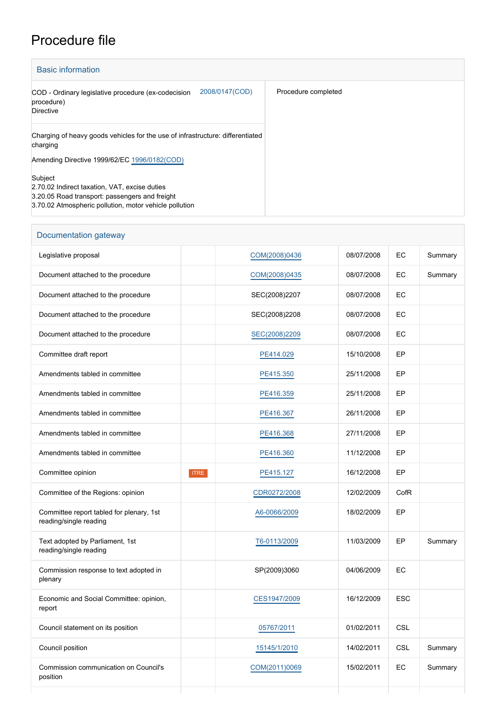## Procedure file

| <b>Basic information</b>                                                                                                                                             |                     |
|----------------------------------------------------------------------------------------------------------------------------------------------------------------------|---------------------|
| 2008/0147(COD)<br>COD - Ordinary legislative procedure (ex-codecision<br>procedure)<br>Directive                                                                     | Procedure completed |
| Charging of heavy goods vehicles for the use of infrastructure: differentiated<br>charging                                                                           |                     |
| Amending Directive 1999/62/EC 1996/0182(COD)                                                                                                                         |                     |
| Subject<br>2.70.02 Indirect taxation, VAT, excise duties<br>3.20.05 Road transport: passengers and freight<br>3.70.02 Atmospheric pollution, motor vehicle pollution |                     |

| Documentation gateway                                              |             |               |            |            |         |
|--------------------------------------------------------------------|-------------|---------------|------------|------------|---------|
| Legislative proposal                                               |             | COM(2008)0436 | 08/07/2008 | EC         | Summary |
| Document attached to the procedure                                 |             | COM(2008)0435 | 08/07/2008 | EC         | Summary |
| Document attached to the procedure                                 |             | SEC(2008)2207 | 08/07/2008 | EC         |         |
| Document attached to the procedure                                 |             | SEC(2008)2208 | 08/07/2008 | EC         |         |
| Document attached to the procedure                                 |             | SEC(2008)2209 | 08/07/2008 | EС         |         |
| Committee draft report                                             |             | PE414.029     | 15/10/2008 | EP         |         |
| Amendments tabled in committee                                     |             | PE415.350     | 25/11/2008 | EP         |         |
| Amendments tabled in committee                                     |             | PE416.359     | 25/11/2008 | EP         |         |
| Amendments tabled in committee                                     |             | PE416.367     | 26/11/2008 | EP         |         |
| Amendments tabled in committee                                     |             | PE416.368     | 27/11/2008 | EP         |         |
| Amendments tabled in committee                                     |             | PE416.360     | 11/12/2008 | EP         |         |
| Committee opinion                                                  | <b>ITRE</b> | PE415.127     | 16/12/2008 | EP         |         |
| Committee of the Regions: opinion                                  |             | CDR0272/2008  | 12/02/2009 | CofR       |         |
| Committee report tabled for plenary, 1st<br>reading/single reading |             | A6-0066/2009  | 18/02/2009 | EP         |         |
| Text adopted by Parliament, 1st<br>reading/single reading          |             | T6-0113/2009  | 11/03/2009 | EP         | Summary |
| Commission response to text adopted in<br>plenary                  |             | SP(2009)3060  | 04/06/2009 | EC         |         |
| Economic and Social Committee: opinion,<br>report                  |             | CES1947/2009  | 16/12/2009 | <b>ESC</b> |         |
| Council statement on its position                                  |             | 05767/2011    | 01/02/2011 | <b>CSL</b> |         |
| Council position                                                   |             | 15145/1/2010  | 14/02/2011 | <b>CSL</b> | Summary |
| Commission communication on Council's<br>position                  |             | COM(2011)0069 | 15/02/2011 | EC         | Summary |
|                                                                    |             |               |            |            |         |